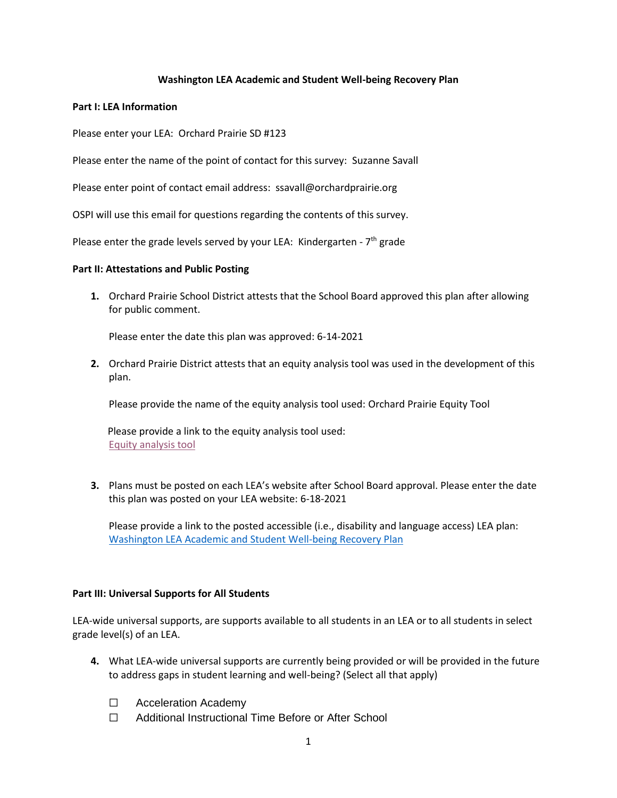### **Washington LEA Academic and Student Well-being Recovery Plan**

#### **Part I: LEA Information**

Please enter your LEA:  Orchard Prairie SD #123

Please enter the name of the point of contact for this survey:  Suzanne Savall

Please enter point of contact email address:  ssavall@orchardprairie.org

OSPI will use this email for questions regarding the contents of this survey. 

Please enter the grade levels served by your LEA: Kindergarten -  $7<sup>th</sup>$  grade

#### **Part II: Attestations and Public Posting**

**1.** Orchard Prairie School District attests that the School Board approved this plan after allowing for public comment.

Please enter the date this plan was approved: 6-14-2021

**2.** Orchard Prairie District attests that an equity analysis tool was used in the development of this plan.

Please provide the name of the equity analysis tool used: Orchard Prairie Equity Tool

 Please provide a link to the equity analysis tool used: [Equity analysis tool](https://drive.google.com/file/d/1PI9IecumJk1QRejZ4VKJEUi8VsRnCd9s/view?usp=sharing)

**3.** Plans must be posted on each LEA's website after School Board approval. Please enter the date this plan was posted on your LEA website: 6-18-2021

Please provide a link to the posted accessible (i.e., disability and language access) LEA plan: [Washington LEA Academic and Student Well-being Recovery Plan](https://drive.google.com/file/d/1qu0a99iwEiCNMoHO2wAMOdlo1VV3e-7-/view?usp=sharing)

### **Part III: Universal Supports for All Students**

LEA-wide universal supports, are supports available to all students in an LEA or to all students in select grade level(s) of an LEA.

- **4.** What LEA-wide universal supports are currently being provided or will be provided in the future to address gaps in student learning and well-being? (Select all that apply)
	- ☐ Acceleration Academy
	- ☐ Additional Instructional Time Before or After School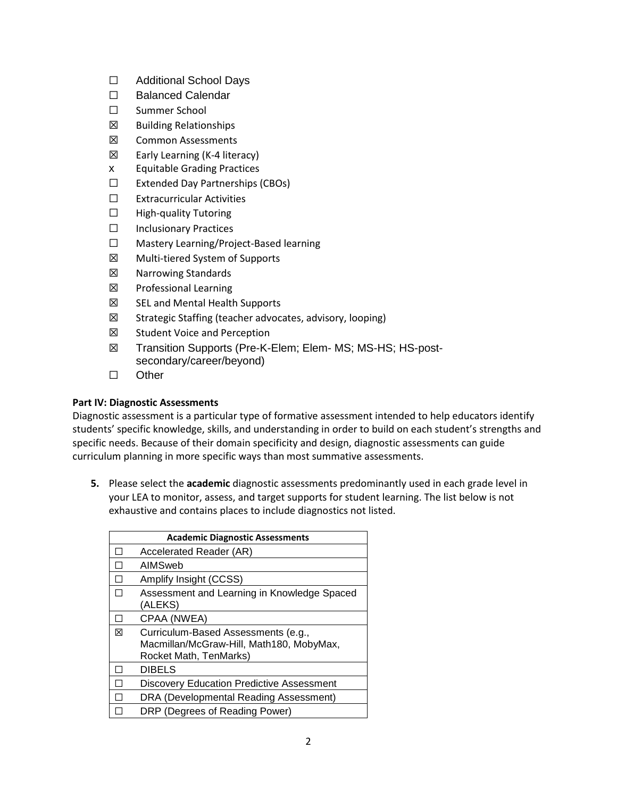- ☐ Additional School Days
- ☐ Balanced Calendar
- ☐ Summer School
- ☒ Building Relationships
- ☒ Common Assessments
- ☒ Early Learning (K-4 literacy)
- x Equitable Grading Practices
- ☐ Extended Day Partnerships (CBOs)
- ☐ Extracurricular Activities
- ☐ High-quality Tutoring
- ☐ Inclusionary Practices
- ☐ Mastery Learning/Project-Based learning
- ☒ Multi-tiered System of Supports
- ☒ Narrowing Standards
- ☒ Professional Learning
- ☒ SEL and Mental Health Supports
- ☒ Strategic Staffing (teacher advocates, advisory, looping)
- ☒ Student Voice and Perception
- ☒ Transition Supports (Pre-K-Elem; Elem- MS; MS-HS; HS-postsecondary/career/beyond)
- ☐ Other

# **Part IV: Diagnostic Assessments**

Diagnostic assessment is a particular type of formative assessment intended to help educators identify students' specific knowledge, skills, and understanding in order to build on each student's strengths and specific needs. Because of their domain specificity and design, diagnostic assessments can guide curriculum planning in more specific ways than most summative assessments. 

**5.** Please select the **academic** diagnostic assessments predominantly used in each grade level in your LEA to monitor, assess, and target supports for student learning. The list below is not exhaustive and contains places to include diagnostics not listed.

| <b>Academic Diagnostic Assessments</b> |                                                                                                           |  |  |
|----------------------------------------|-----------------------------------------------------------------------------------------------------------|--|--|
|                                        | Accelerated Reader (AR)                                                                                   |  |  |
|                                        | AIMSweb                                                                                                   |  |  |
|                                        | Amplify Insight (CCSS)                                                                                    |  |  |
|                                        | Assessment and Learning in Knowledge Spaced<br>(ALEKS)                                                    |  |  |
|                                        | CPAA (NWEA)                                                                                               |  |  |
| ⊠                                      | Curriculum-Based Assessments (e.g.,<br>Macmillan/McGraw-Hill, Math180, MobyMax,<br>Rocket Math, TenMarks) |  |  |
|                                        | <b>DIBELS</b>                                                                                             |  |  |
|                                        | Discovery Education Predictive Assessment                                                                 |  |  |
|                                        | DRA (Developmental Reading Assessment)                                                                    |  |  |
|                                        | DRP (Degrees of Reading Power)                                                                            |  |  |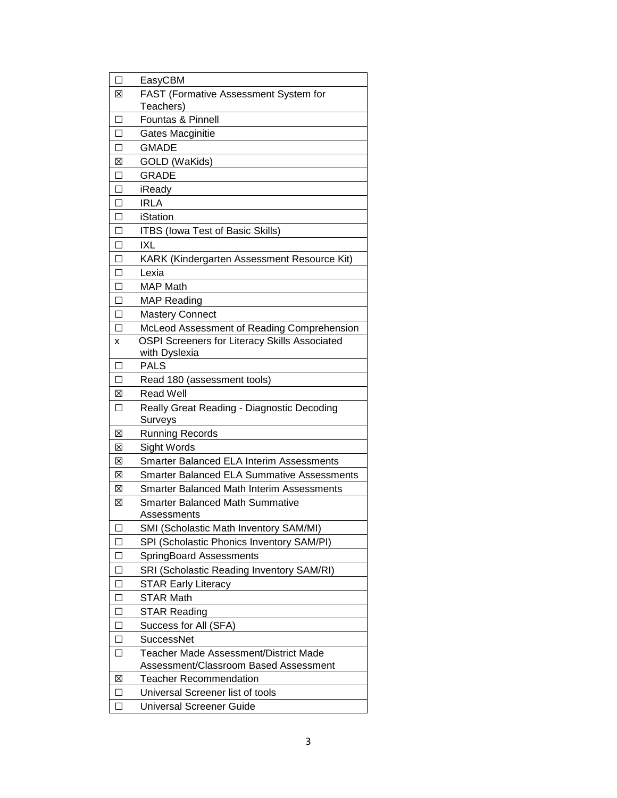| П                        | EasyCBM                                               |  |  |
|--------------------------|-------------------------------------------------------|--|--|
| ⊠                        | FAST (Formative Assessment System for                 |  |  |
|                          | Teachers)                                             |  |  |
| П                        | Fountas & Pinnell                                     |  |  |
| П                        | <b>Gates Macginitie</b>                               |  |  |
| П                        | <b>GMADE</b>                                          |  |  |
| ⊠                        | GOLD (WaKids)                                         |  |  |
| ΙI                       | <b>GRADE</b>                                          |  |  |
| П                        | iReady                                                |  |  |
| П                        | <b>IRLA</b>                                           |  |  |
| П                        | iStation                                              |  |  |
| П                        | <b>ITBS (Iowa Test of Basic Skills)</b>               |  |  |
| П                        | IXL                                                   |  |  |
| П                        | KARK (Kindergarten Assessment Resource Kit)           |  |  |
| П                        | Lexia                                                 |  |  |
| П                        | <b>MAP Math</b>                                       |  |  |
| П                        | <b>MAP Reading</b>                                    |  |  |
| П                        | <b>Mastery Connect</b>                                |  |  |
| П                        | McLeod Assessment of Reading Comprehension            |  |  |
| x                        | OSPI Screeners for Literacy Skills Associated         |  |  |
|                          | with Dyslexia                                         |  |  |
| П                        | <b>PALS</b>                                           |  |  |
| п                        | Read 180 (assessment tools)                           |  |  |
| ⊠                        | <b>Read Well</b>                                      |  |  |
| П                        | Really Great Reading - Diagnostic Decoding<br>Surveys |  |  |
| ⊠                        | <b>Running Records</b>                                |  |  |
| ⊠                        | Sight Words                                           |  |  |
| 図                        | <b>Smarter Balanced ELA Interim Assessments</b>       |  |  |
| ⊠                        | <b>Smarter Balanced ELA Summative Assessments</b>     |  |  |
| 図                        | Smarter Balanced Math Interim Assessments             |  |  |
| ⊠                        | Smarter Balanced Math Summative                       |  |  |
|                          | Assessments                                           |  |  |
| $\overline{\phantom{a}}$ | SMI (Scholastic Math Inventory SAM/MI)                |  |  |
| □                        | SPI (Scholastic Phonics Inventory SAM/PI)             |  |  |
| $\Box$                   | SpringBoard Assessments                               |  |  |
| П                        | SRI (Scholastic Reading Inventory SAM/RI)             |  |  |
| П                        | <b>STAR Early Literacy</b>                            |  |  |
| □                        | <b>STAR Math</b>                                      |  |  |
| □                        | <b>STAR Reading</b>                                   |  |  |
| □                        | Success for All (SFA)                                 |  |  |
| П                        | <b>SuccessNet</b>                                     |  |  |
| $\Box$                   | Teacher Made Assessment/District Made                 |  |  |
|                          | Assessment/Classroom Based Assessment                 |  |  |
| X                        | <b>Teacher Recommendation</b>                         |  |  |
| $\Box$                   | Universal Screener list of tools                      |  |  |
| □                        | <b>Universal Screener Guide</b>                       |  |  |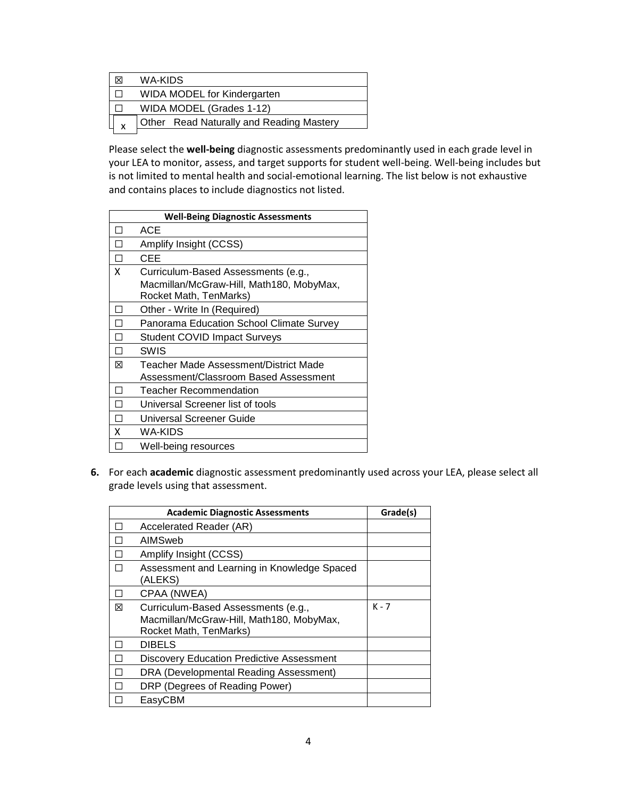|   | WA-KIDS                                  |
|---|------------------------------------------|
|   | <b>WIDA MODEL for Kindergarten</b>       |
|   | WIDA MODEL (Grades 1-12)                 |
| X | Other Read Naturally and Reading Mastery |
|   |                                          |

Please select the **well-being** diagnostic assessments predominantly used in each grade level in your LEA to monitor, assess, and target supports for student well-being. Well-being includes but xis not limited to mental health and social-emotional learning. The list below is not exhaustive and contains places to include diagnostics not listed. e<br>C

| <b>Well-Being Diagnostic Assessments</b> |                                                                                                           |  |  |
|------------------------------------------|-----------------------------------------------------------------------------------------------------------|--|--|
| $\mathsf{L}$                             | ACE                                                                                                       |  |  |
|                                          | Amplify Insight (CCSS)                                                                                    |  |  |
| П                                        | CEE                                                                                                       |  |  |
| X                                        | Curriculum-Based Assessments (e.g.,<br>Macmillan/McGraw-Hill, Math180, MobyMax,<br>Rocket Math, TenMarks) |  |  |
| ΙI                                       | Other - Write In (Required)                                                                               |  |  |
| П                                        | Panorama Education School Climate Survey                                                                  |  |  |
|                                          | <b>Student COVID Impact Surveys</b>                                                                       |  |  |
| $\mathsf{L}$                             | SWIS                                                                                                      |  |  |
| 冈                                        | Teacher Made Assessment/District Made<br>Assessment/Classroom Based Assessment                            |  |  |
| H                                        | <b>Teacher Recommendation</b>                                                                             |  |  |
| П                                        | Universal Screener list of tools                                                                          |  |  |
|                                          | <b>Universal Screener Guide</b>                                                                           |  |  |
| x                                        | WA-KIDS                                                                                                   |  |  |
|                                          | Well-being resources                                                                                      |  |  |

**6.** For each **academic** diagnostic assessment predominantly used across your LEA, please select all grade levels using that assessment.

|   | <b>Academic Diagnostic Assessments</b>                                                                    | Grade(s) |
|---|-----------------------------------------------------------------------------------------------------------|----------|
|   | Accelerated Reader (AR)                                                                                   |          |
|   | AIMSweb                                                                                                   |          |
|   | Amplify Insight (CCSS)                                                                                    |          |
|   | Assessment and Learning in Knowledge Spaced<br>(ALEKS)                                                    |          |
|   | CPAA (NWEA)                                                                                               |          |
| ⊠ | Curriculum-Based Assessments (e.g.,<br>Macmillan/McGraw-Hill, Math180, MobyMax,<br>Rocket Math, TenMarks) | $K - 7$  |
|   | <b>DIBELS</b>                                                                                             |          |
|   | <b>Discovery Education Predictive Assessment</b>                                                          |          |
|   | DRA (Developmental Reading Assessment)                                                                    |          |
|   | DRP (Degrees of Reading Power)                                                                            |          |
|   | EasyCBM                                                                                                   |          |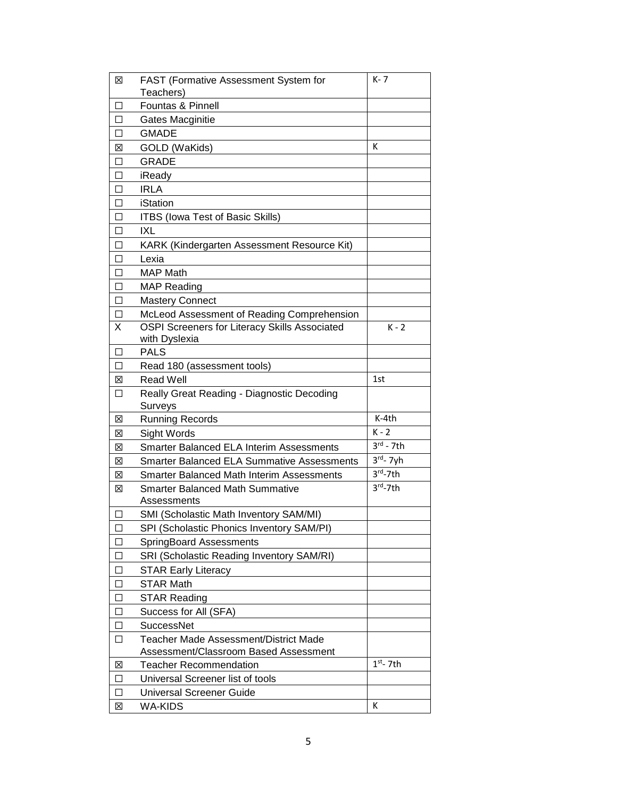| X      | FAST (Formative Assessment System for                          | $K - 7$               |
|--------|----------------------------------------------------------------|-----------------------|
|        | Teachers)                                                      |                       |
| П      | Fountas & Pinnell                                              |                       |
| □      | Gates Macginitie                                               |                       |
| □      | <b>GMADE</b>                                                   |                       |
| X      | GOLD (WaKids)                                                  | Κ                     |
| $\Box$ | <b>GRADE</b>                                                   |                       |
| □      | iReady                                                         |                       |
| □      | <b>IRLA</b>                                                    |                       |
| $\Box$ | <b>iStation</b>                                                |                       |
| □      | <b>ITBS (Iowa Test of Basic Skills)</b>                        |                       |
| $\Box$ | IXL                                                            |                       |
| □      | KARK (Kindergarten Assessment Resource Kit)                    |                       |
| П      | Lexia                                                          |                       |
| □      | <b>MAP Math</b>                                                |                       |
| □      | <b>MAP Reading</b>                                             |                       |
| $\Box$ | <b>Mastery Connect</b>                                         |                       |
| ப      | McLeod Assessment of Reading Comprehension                     |                       |
| X      | OSPI Screeners for Literacy Skills Associated<br>with Dyslexia | $K - 2$               |
| П      | <b>PALS</b>                                                    |                       |
| П      | Read 180 (assessment tools)                                    |                       |
| 区      | <b>Read Well</b>                                               | 1st                   |
| $\Box$ | Really Great Reading - Diagnostic Decoding                     |                       |
|        | Surveys                                                        |                       |
| ⊠      | <b>Running Records</b>                                         | K-4th                 |
| ⊠      | Sight Words                                                    | $K - 2$               |
| 区      | <b>Smarter Balanced ELA Interim Assessments</b>                | $3^{\text{rd}}$ - 7th |
| X      | <b>Smarter Balanced ELA Summative Assessments</b>              | $3rd - 7yh$           |
| X      | <b>Smarter Balanced Math Interim Assessments</b>               | $3rd - 7th$           |
| ⊠      | <b>Smarter Balanced Math Summative</b>                         | $3rd - 7th$           |
|        | Assessments                                                    |                       |
| ΙI     | SMI (Scholastic Math Inventory SAM/MI)                         |                       |
| ⊔      | SPI (Scholastic Phonics Inventory SAM/PI)                      |                       |
| □      | SpringBoard Assessments                                        |                       |
| □      | SRI (Scholastic Reading Inventory SAM/RI)                      |                       |
| □      | <b>STAR Early Literacy</b>                                     |                       |
| $\Box$ | <b>STAR Math</b>                                               |                       |
| □      | <b>STAR Reading</b>                                            |                       |
| □      | Success for All (SFA)                                          |                       |
| □      | <b>SuccessNet</b>                                              |                       |
| □      | Teacher Made Assessment/District Made                          |                       |
|        | Assessment/Classroom Based Assessment                          |                       |
| X      | <b>Teacher Recommendation</b>                                  | $1st - 7th$           |
| □      | Universal Screener list of tools                               |                       |
| □      | <b>Universal Screener Guide</b>                                |                       |
| X      | <b>WA-KIDS</b>                                                 | Κ                     |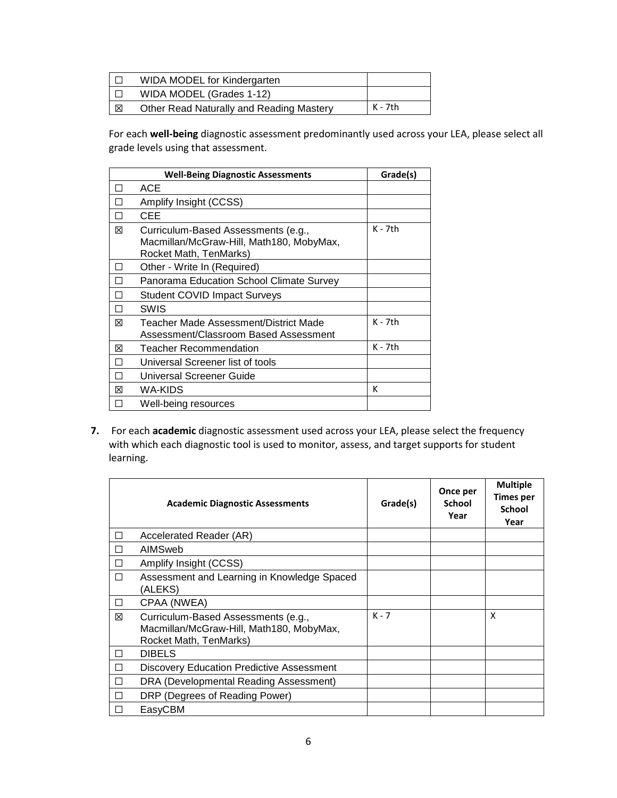|   | <b>WIDA MODEL for Kindergarten</b>       |         |
|---|------------------------------------------|---------|
|   | WIDA MODEL (Grades 1-12)                 |         |
| 区 | Other Read Naturally and Reading Mastery | K - 7th |

For each **well-being** diagnostic assessment predominantly used across your LEA, please select all grade levels using that assessment.

|   | <b>Well-Being Diagnostic Assessments</b>                                                                  | Grade(s)  |
|---|-----------------------------------------------------------------------------------------------------------|-----------|
| H | ACE                                                                                                       |           |
| П | Amplify Insight (CCSS)                                                                                    |           |
| П | CEE                                                                                                       |           |
| ⊠ | Curriculum-Based Assessments (e.g.,<br>Macmillan/McGraw-Hill, Math180, MobyMax,<br>Rocket Math, TenMarks) | $K - 7th$ |
| H | Other - Write In (Required)                                                                               |           |
| П | Panorama Education School Climate Survey                                                                  |           |
| П | <b>Student COVID Impact Surveys</b>                                                                       |           |
|   | SWIS                                                                                                      |           |
| 冈 | Teacher Made Assessment/District Made<br>Assessment/Classroom Based Assessment                            | $K - 7th$ |
| 冈 | <b>Teacher Recommendation</b>                                                                             | K - 7th   |
|   | Universal Screener list of tools                                                                          |           |
|   | Universal Screener Guide                                                                                  |           |
| 冈 | WA-KIDS                                                                                                   | к         |
|   | Well-being resources                                                                                      |           |

**7.** For each **academic** diagnostic assessment used across your LEA, please select the frequency with which each diagnostic tool is used to monitor, assess, and target supports for student learning.

|        | <b>Academic Diagnostic Assessments</b>                                                                    | Grade(s) | Once per<br>School<br>Year | <b>Multiple</b><br>Times per<br>School<br>Year |
|--------|-----------------------------------------------------------------------------------------------------------|----------|----------------------------|------------------------------------------------|
| □      | Accelerated Reader (AR)                                                                                   |          |                            |                                                |
| П      | AIMSweb                                                                                                   |          |                            |                                                |
| $\Box$ | Amplify Insight (CCSS)                                                                                    |          |                            |                                                |
| П      | Assessment and Learning in Knowledge Spaced<br>(ALEKS)                                                    |          |                            |                                                |
| □      | CPAA (NWEA)                                                                                               |          |                            |                                                |
| ⊠      | Curriculum-Based Assessments (e.g.,<br>Macmillan/McGraw-Hill, Math180, MobyMax,<br>Rocket Math, TenMarks) | $K - 7$  |                            | X                                              |
| $\Box$ | <b>DIBELS</b>                                                                                             |          |                            |                                                |
| □      | Discovery Education Predictive Assessment                                                                 |          |                            |                                                |
| П      | DRA (Developmental Reading Assessment)                                                                    |          |                            |                                                |
| П      | DRP (Degrees of Reading Power)                                                                            |          |                            |                                                |
|        | EasyCBM                                                                                                   |          |                            |                                                |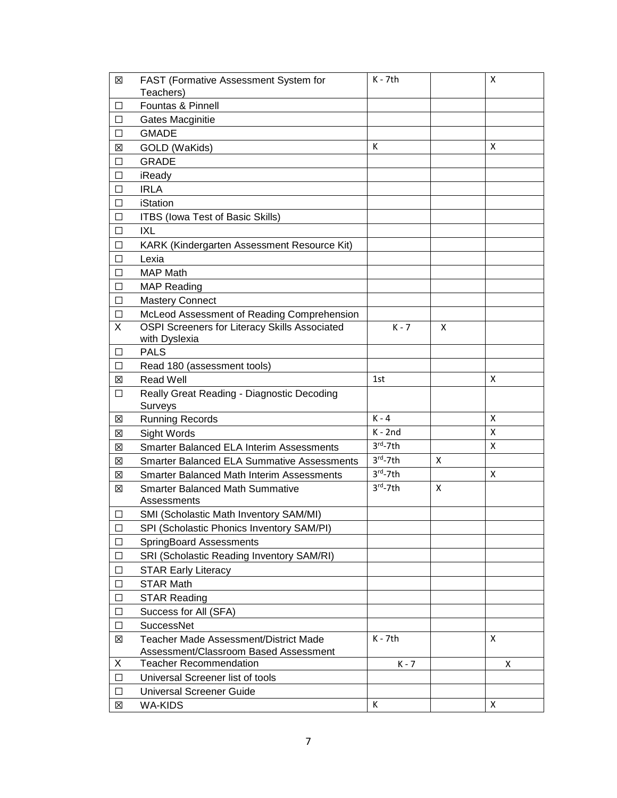| X            | FAST (Formative Assessment System for             | $K - 7th$   |   | x |
|--------------|---------------------------------------------------|-------------|---|---|
|              | Teachers)                                         |             |   |   |
| ப            | Fountas & Pinnell                                 |             |   |   |
| □            | Gates Macginitie                                  |             |   |   |
| □            | <b>GMADE</b>                                      |             |   |   |
| ⊠            | GOLD (WaKids)                                     | К           |   | X |
| □            | <b>GRADE</b>                                      |             |   |   |
| □            | iReady                                            |             |   |   |
| П            | <b>IRLA</b>                                       |             |   |   |
| П            | iStation                                          |             |   |   |
| ΙI           | <b>ITBS (Iowa Test of Basic Skills)</b>           |             |   |   |
| $\mathsf{L}$ | IXL                                               |             |   |   |
| □            | KARK (Kindergarten Assessment Resource Kit)       |             |   |   |
| П            | Lexia                                             |             |   |   |
| $\mathsf{L}$ | <b>MAP Math</b>                                   |             |   |   |
| $\mathsf{L}$ | <b>MAP Reading</b>                                |             |   |   |
| □            | <b>Mastery Connect</b>                            |             |   |   |
| ⊔            | McLeod Assessment of Reading Comprehension        |             |   |   |
| X            | OSPI Screeners for Literacy Skills Associated     | $K - 7$     | X |   |
|              | with Dyslexia                                     |             |   |   |
| ⊔            | <b>PALS</b>                                       |             |   |   |
| □            | Read 180 (assessment tools)                       |             |   |   |
| ⊠            | <b>Read Well</b>                                  | 1st         |   | X |
| ப            | Really Great Reading - Diagnostic Decoding        |             |   |   |
|              | <b>Surveys</b>                                    |             |   |   |
| ⊠            | <b>Running Records</b>                            | $K - 4$     |   | X |
| X            | Sight Words                                       | $K - 2nd$   |   | х |
| ⊠            | <b>Smarter Balanced ELA Interim Assessments</b>   | $3rd - 7th$ |   | X |
| ⊠            | <b>Smarter Balanced ELA Summative Assessments</b> | $3rd - 7th$ | X |   |
| ⊠            | <b>Smarter Balanced Math Interim Assessments</b>  | $3rd - 7th$ |   | X |
| ⊠            | <b>Smarter Balanced Math Summative</b>            | $3rd - 7th$ | X |   |
|              | Assessments                                       |             |   |   |
| ⊔            | SMI (Scholastic Math Inventory SAM/MI)            |             |   |   |
| ப            | SPI (Scholastic Phonics Inventory SAM/PI)         |             |   |   |
| □            | SpringBoard Assessments                           |             |   |   |
| □            | SRI (Scholastic Reading Inventory SAM/RI)         |             |   |   |
| □            | <b>STAR Early Literacy</b>                        |             |   |   |
| □            | <b>STAR Math</b>                                  |             |   |   |
| □            | <b>STAR Reading</b>                               |             |   |   |
| ப            | Success for All (SFA)                             |             |   |   |
| □            | <b>SuccessNet</b>                                 |             |   |   |
| ⊠            | Teacher Made Assessment/District Made             | $K - 7th$   |   | X |
|              | Assessment/Classroom Based Assessment             |             |   |   |
| X            | <b>Teacher Recommendation</b>                     | $K - 7$     |   | X |
| □            | Universal Screener list of tools                  |             |   |   |
| □            | <b>Universal Screener Guide</b>                   |             |   |   |
| 区            | <b>WA-KIDS</b>                                    | К           |   | X |
|              |                                                   |             |   |   |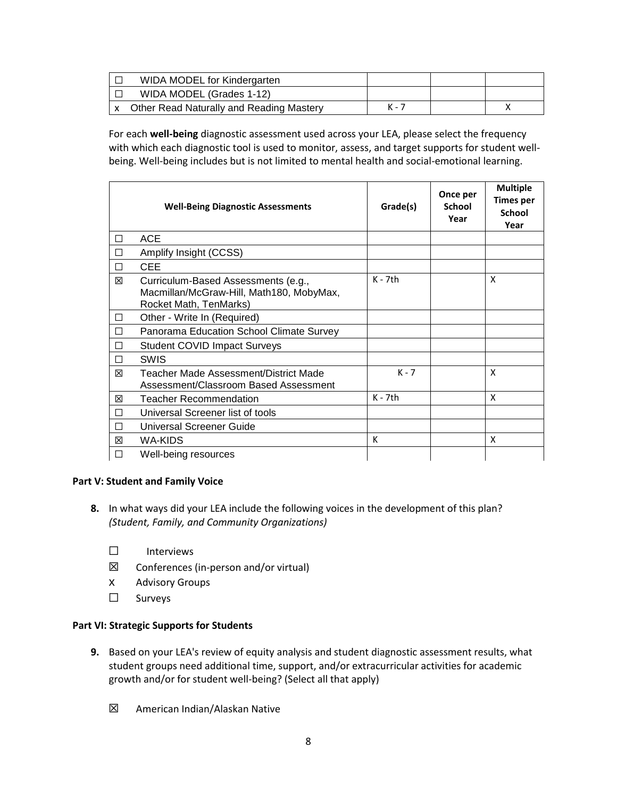| WIDA MODEL for Kindergarten                     |       |  |
|-------------------------------------------------|-------|--|
| WIDA MODEL (Grades 1-12)                        |       |  |
| <b>Other Read Naturally and Reading Mastery</b> | K - 7 |  |

For each **well-being** diagnostic assessment used across your LEA, please select the frequency with which each diagnostic tool is used to monitor, assess, and target supports for student wellbeing. Well-being includes but is not limited to mental health and social-emotional learning. 

|   | <b>Well-Being Diagnostic Assessments</b>                                                                  | Grade(s)  | Once per<br><b>School</b><br>Year | <b>Multiple</b><br><b>Times per</b><br><b>School</b><br>Year |
|---|-----------------------------------------------------------------------------------------------------------|-----------|-----------------------------------|--------------------------------------------------------------|
| П | <b>ACE</b>                                                                                                |           |                                   |                                                              |
|   | Amplify Insight (CCSS)                                                                                    |           |                                   |                                                              |
| П | <b>CEE</b>                                                                                                |           |                                   |                                                              |
| ⊠ | Curriculum-Based Assessments (e.g.,<br>Macmillan/McGraw-Hill, Math180, MobyMax,<br>Rocket Math, TenMarks) | $K - 7th$ |                                   | X                                                            |
| П | Other - Write In (Required)                                                                               |           |                                   |                                                              |
|   | Panorama Education School Climate Survey                                                                  |           |                                   |                                                              |
|   | <b>Student COVID Impact Surveys</b>                                                                       |           |                                   |                                                              |
| П | <b>SWIS</b>                                                                                               |           |                                   |                                                              |
| ⊠ | Teacher Made Assessment/District Made<br>Assessment/Classroom Based Assessment                            | $K - 7$   |                                   | x                                                            |
| ⊠ | Teacher Recommendation                                                                                    | K - 7th   |                                   | x                                                            |
|   | Universal Screener list of tools                                                                          |           |                                   |                                                              |
|   | Universal Screener Guide                                                                                  |           |                                   |                                                              |
| X | WA-KIDS                                                                                                   | К         |                                   | x                                                            |
|   | Well-being resources                                                                                      |           |                                   |                                                              |

### **Part V: Student and Family Voice**

- **8.** In what ways did your LEA include the following voices in the development of this plan?  *(Student, Family, and Community Organizations)*
	- ☐ Interviews
	- $\boxtimes$  Conferences (in-person and/or virtual)
	- x Advisory Groups
	- ☐ Surveys

### **Part VI: Strategic Supports for Students**

- **9.** Based on your LEA's review of equity analysis and student diagnostic assessment results, what student groups need additional time, support, and/or extracurricular activities for academic growth and/or for student well-being? (Select all that apply)
	- ☒ American Indian/Alaskan Native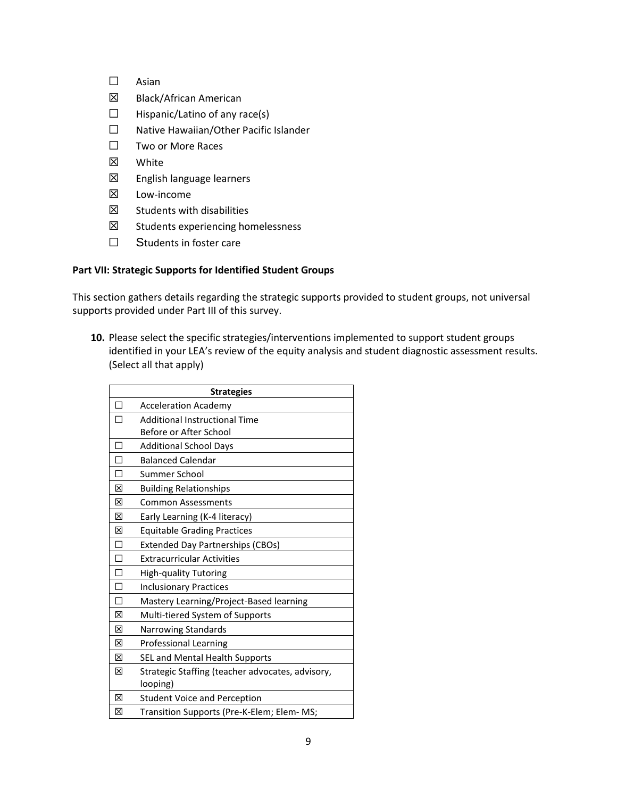- ☐ Asian
- ☒ Black/African American
- $\Box$  Hispanic/Latino of any race(s)
- ☐ Native Hawaiian/Other Pacific Islander
- ☐ Two or More Races
- ☒ White
- ☒ English language learners
- ☒ Low-income
- $<sup>2</sup>$  Students with disabilities</sup>
- ☒ Students experiencing homelessness
- □ Students in foster care

## **Part VII: Strategic Supports for Identified Student Groups**

This section gathers details regarding the strategic supports provided to student groups, not universal supports provided under Part III of this survey.

**10.** Please select the specific strategies/interventions implemented to support student groups identified in your LEA's review of the equity analysis and student diagnostic assessment results. (Select all that apply)

| <b>Strategies</b> |                                                              |  |
|-------------------|--------------------------------------------------------------|--|
| П                 | <b>Acceleration Academy</b>                                  |  |
| П                 | <b>Additional Instructional Time</b>                         |  |
|                   | Before or After School                                       |  |
| П                 | <b>Additional School Days</b>                                |  |
| П                 | <b>Balanced Calendar</b>                                     |  |
| П                 | Summer School                                                |  |
| X                 | <b>Building Relationships</b>                                |  |
| ⊠                 | <b>Common Assessments</b>                                    |  |
| ⊠                 | Early Learning (K-4 literacy)                                |  |
| 冈                 | <b>Equitable Grading Practices</b>                           |  |
| □                 | <b>Extended Day Partnerships (CBOs)</b>                      |  |
| П                 | <b>Extracurricular Activities</b>                            |  |
| П                 | High-quality Tutoring                                        |  |
| П                 | <b>Inclusionary Practices</b>                                |  |
| П                 | Mastery Learning/Project-Based learning                      |  |
| ⊠                 | Multi-tiered System of Supports                              |  |
| 冈                 | Narrowing Standards                                          |  |
| ⊠                 | <b>Professional Learning</b>                                 |  |
| ⊠                 | SEL and Mental Health Supports                               |  |
| 図                 | Strategic Staffing (teacher advocates, advisory,<br>looping) |  |
| ⊠                 | <b>Student Voice and Perception</b>                          |  |
| X                 | Transition Supports (Pre-K-Elem; Elem- MS;                   |  |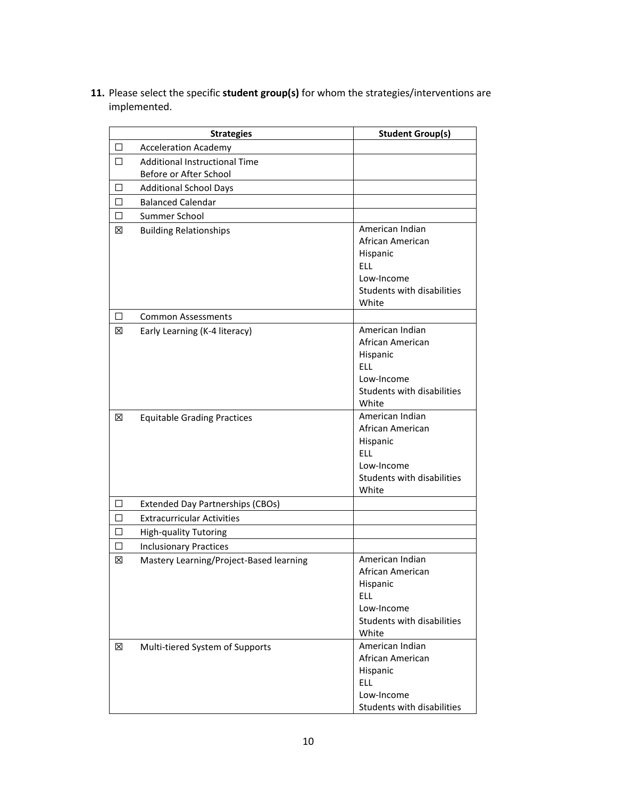**11.** Please select the specific **student group(s)** for whom the strategies/interventions are implemented.

|         | <b>Strategies</b>                       | <b>Student Group(s)</b>                                                                                            |
|---------|-----------------------------------------|--------------------------------------------------------------------------------------------------------------------|
| □       | <b>Acceleration Academy</b>             |                                                                                                                    |
| □       | <b>Additional Instructional Time</b>    |                                                                                                                    |
|         | Before or After School                  |                                                                                                                    |
| $\perp$ | <b>Additional School Days</b>           |                                                                                                                    |
| П       | <b>Balanced Calendar</b>                |                                                                                                                    |
| □       | Summer School                           |                                                                                                                    |
| ⊠       | <b>Building Relationships</b>           | American Indian<br>African American<br>Hispanic<br><b>ELL</b><br>Low-Income<br>Students with disabilities<br>White |
| □       | <b>Common Assessments</b>               |                                                                                                                    |
| ⊠       | Early Learning (K-4 literacy)           | American Indian<br>African American<br>Hispanic<br><b>ELL</b><br>Low-Income<br>Students with disabilities<br>White |
| ⊠       | <b>Equitable Grading Practices</b>      | American Indian<br>African American<br>Hispanic<br><b>ELL</b><br>Low-Income<br>Students with disabilities<br>White |
| □       | <b>Extended Day Partnerships (CBOs)</b> |                                                                                                                    |
| □       | <b>Extracurricular Activities</b>       |                                                                                                                    |
| П       | <b>High-quality Tutoring</b>            |                                                                                                                    |
| □       | <b>Inclusionary Practices</b>           |                                                                                                                    |
| X       | Mastery Learning/Project-Based learning | American Indian<br>African American<br>Hispanic<br><b>ELL</b><br>Low-Income<br>Students with disabilities<br>White |
| ⊠       | Multi-tiered System of Supports         | American Indian<br>African American<br>Hispanic<br><b>ELL</b><br>Low-Income<br>Students with disabilities          |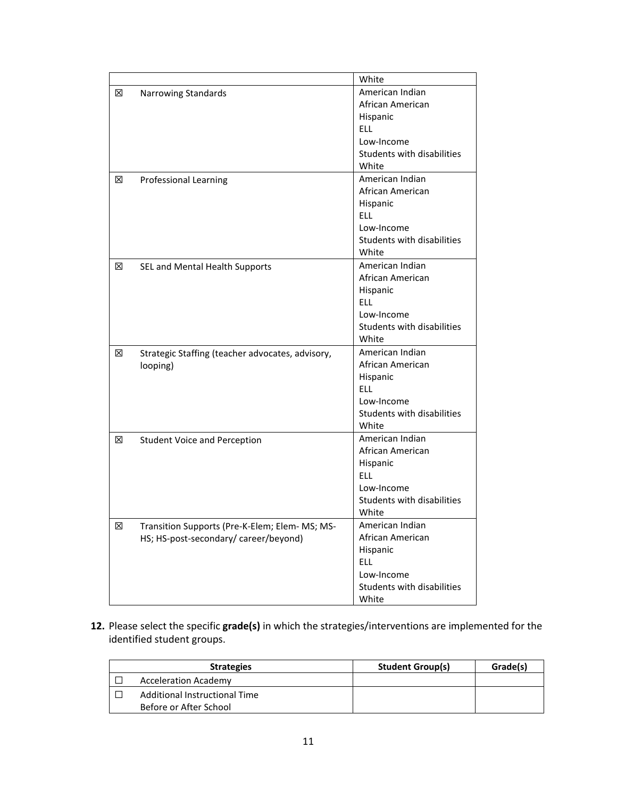|   |                                                  | White                      |
|---|--------------------------------------------------|----------------------------|
| ⊠ | Narrowing Standards                              | American Indian            |
|   |                                                  | African American           |
|   |                                                  | Hispanic                   |
|   |                                                  | ELL.                       |
|   |                                                  | Low-Income                 |
|   |                                                  | Students with disabilities |
|   |                                                  | White                      |
| ⊠ | Professional Learning                            | American Indian            |
|   |                                                  | African American           |
|   |                                                  | Hispanic                   |
|   |                                                  | <b>ELL</b>                 |
|   |                                                  | Low-Income                 |
|   |                                                  | Students with disabilities |
|   |                                                  | White                      |
| ⊠ | SEL and Mental Health Supports                   | American Indian            |
|   |                                                  | African American           |
|   |                                                  | Hispanic                   |
|   |                                                  | <b>ELL</b>                 |
|   |                                                  | Low-Income                 |
|   |                                                  | Students with disabilities |
|   |                                                  | White                      |
| ⊠ | Strategic Staffing (teacher advocates, advisory, | American Indian            |
|   | looping)                                         | African American           |
|   |                                                  | Hispanic                   |
|   |                                                  | ELL.                       |
|   |                                                  | Low-Income                 |
|   |                                                  | Students with disabilities |
|   |                                                  | White                      |
| ⊠ | <b>Student Voice and Perception</b>              | American Indian            |
|   |                                                  | African American           |
|   |                                                  | Hispanic                   |
|   |                                                  | ELL.                       |
|   |                                                  | Low-Income                 |
|   |                                                  | Students with disabilities |
|   |                                                  | White                      |
| ⊠ | Transition Supports (Pre-K-Elem; Elem- MS; MS-   | American Indian            |
|   | HS; HS-post-secondary/ career/beyond)            | African American           |
|   |                                                  | Hispanic                   |
|   |                                                  | <b>ELL</b>                 |
|   |                                                  | Low-Income                 |
|   |                                                  | Students with disabilities |
|   |                                                  | White                      |

**12.** Please select the specific **grade(s)** in which the strategies/interventions are implemented for the identified student groups.

| <b>Strategies</b>             | <b>Student Group(s)</b> | Grade(s) |
|-------------------------------|-------------------------|----------|
| <b>Acceleration Academy</b>   |                         |          |
| Additional Instructional Time |                         |          |
| Before or After School        |                         |          |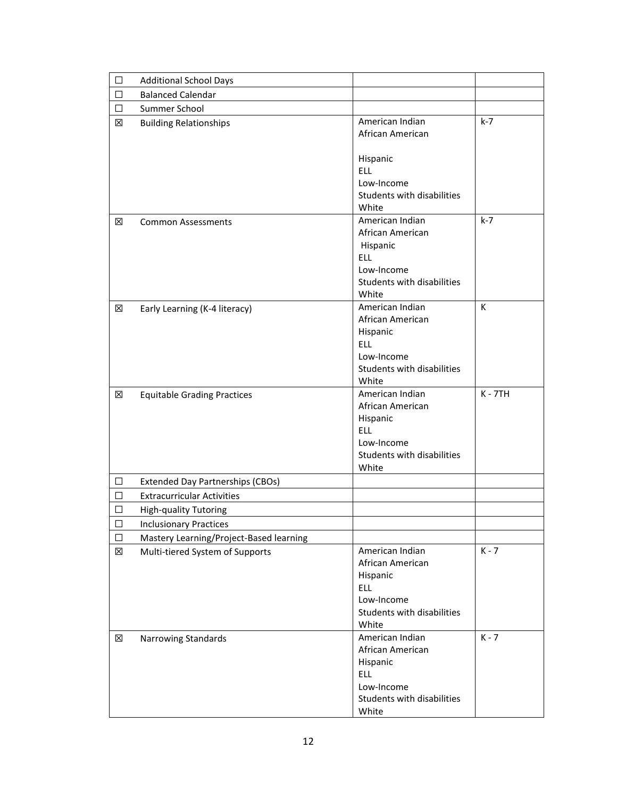| □           | <b>Additional School Days</b>                                              |                                                                                                                    |           |
|-------------|----------------------------------------------------------------------------|--------------------------------------------------------------------------------------------------------------------|-----------|
| □           | <b>Balanced Calendar</b>                                                   |                                                                                                                    |           |
| □           | Summer School                                                              |                                                                                                                    |           |
| ⊠           | <b>Building Relationships</b>                                              | American Indian<br>African American                                                                                | $k-7$     |
|             |                                                                            | Hispanic<br>ELL.<br>Low-Income<br>Students with disabilities<br>White                                              |           |
| X           | <b>Common Assessments</b>                                                  | American Indian<br>African American<br>Hispanic<br><b>ELL</b><br>Low-Income<br>Students with disabilities<br>White | $k-7$     |
| ⊠           | Early Learning (K-4 literacy)                                              | American Indian<br>African American<br>Hispanic<br><b>ELL</b><br>Low-Income<br>Students with disabilities<br>White | К         |
| X           | <b>Equitable Grading Practices</b>                                         | American Indian<br>African American<br>Hispanic<br><b>ELL</b><br>Low-Income<br>Students with disabilities<br>White | $K - 7TH$ |
| $\Box$      | <b>Extended Day Partnerships (CBOs)</b>                                    |                                                                                                                    |           |
| □           | <b>Extracurricular Activities</b>                                          |                                                                                                                    |           |
| □           |                                                                            |                                                                                                                    |           |
| $\Box$      | <b>High-quality Tutoring</b>                                               |                                                                                                                    |           |
|             | <b>Inclusionary Practices</b>                                              |                                                                                                                    |           |
| $\Box$<br>区 | Mastery Learning/Project-Based learning<br>Multi-tiered System of Supports | American Indian<br>African American<br>Hispanic<br><b>ELL</b><br>Low-Income<br>Students with disabilities<br>White | $K - 7$   |
| X           | Narrowing Standards                                                        | American Indian<br>African American<br>Hispanic<br><b>ELL</b><br>Low-Income<br>Students with disabilities<br>White | $K - 7$   |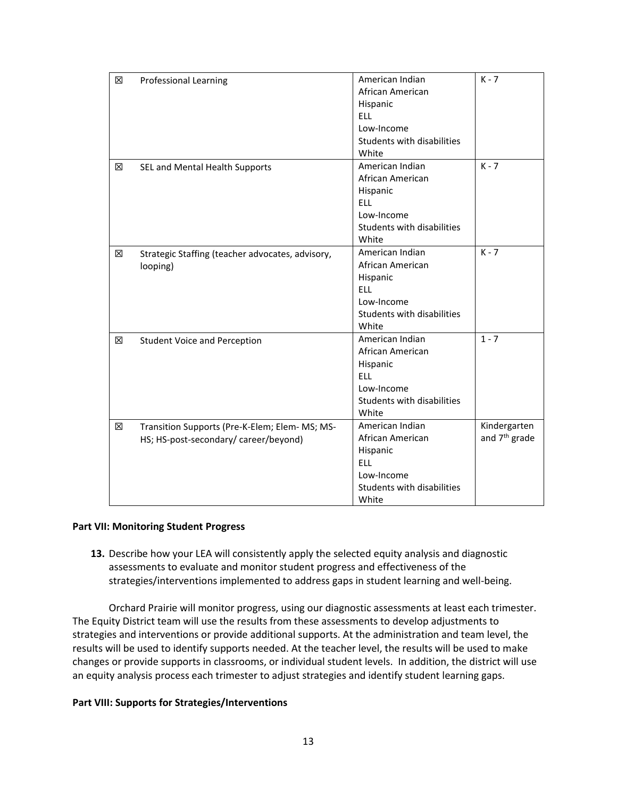| 区 | <b>Professional Learning</b>                                                            | American Indian<br>African American<br>Hispanic<br><b>ELL</b><br>Low-Income<br>Students with disabilities<br>White | $K - 7$                                   |
|---|-----------------------------------------------------------------------------------------|--------------------------------------------------------------------------------------------------------------------|-------------------------------------------|
| ⊠ | SEL and Mental Health Supports                                                          | American Indian<br>African American<br>Hispanic<br><b>ELL</b><br>Low-Income<br>Students with disabilities<br>White | $K - 7$                                   |
| X | Strategic Staffing (teacher advocates, advisory,<br>looping)                            | American Indian<br>African American<br>Hispanic<br><b>ELL</b><br>Low-Income<br>Students with disabilities<br>White | $K - 7$                                   |
| ⊠ | <b>Student Voice and Perception</b>                                                     | American Indian<br>African American<br>Hispanic<br><b>ELL</b><br>Low-Income<br>Students with disabilities<br>White | $1 - 7$                                   |
| X | Transition Supports (Pre-K-Elem; Elem- MS; MS-<br>HS; HS-post-secondary/ career/beyond) | American Indian<br>African American<br>Hispanic<br><b>ELL</b><br>Low-Income<br>Students with disabilities<br>White | Kindergarten<br>and 7 <sup>th</sup> grade |

#### **Part VII: Monitoring Student Progress**

**13.** Describe how your LEA will consistently apply the selected equity analysis and diagnostic assessments to evaluate and monitor student progress and effectiveness of the strategies/interventions implemented to address gaps in student learning and well-being. 

Orchard Prairie will monitor progress, using our diagnostic assessments at least each trimester. The Equity District team will use the results from these assessments to develop adjustments to strategies and interventions or provide additional supports. At the administration and team level, the results will be used to identify supports needed. At the teacher level, the results will be used to make changes or provide supports in classrooms, or individual student levels. In addition, the district will use an equity analysis process each trimester to adjust strategies and identify student learning gaps.

#### **Part VIII: Supports for Strategies/Interventions**